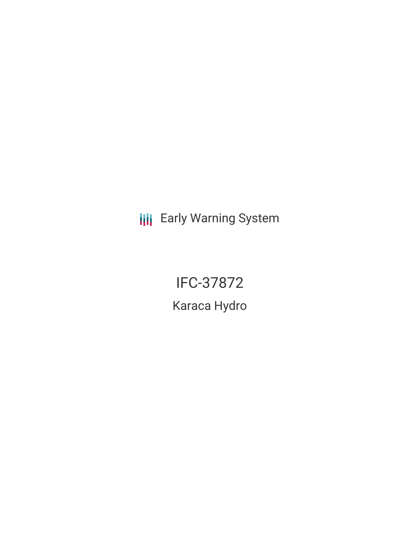**III** Early Warning System

IFC-37872

Karaca Hydro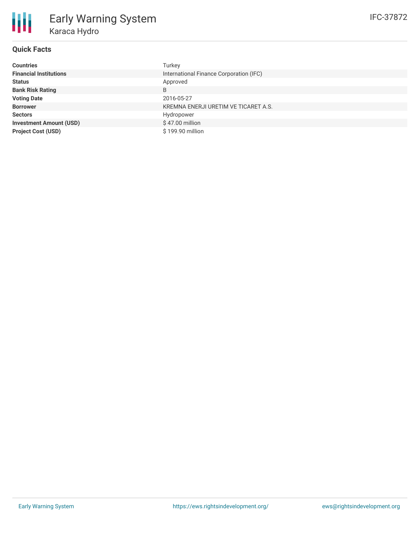## **Quick Facts**

冊

| <b>Countries</b>               | Turkey                                  |
|--------------------------------|-----------------------------------------|
| <b>Financial Institutions</b>  | International Finance Corporation (IFC) |
| <b>Status</b>                  | Approved                                |
| <b>Bank Risk Rating</b>        | B                                       |
| <b>Voting Date</b>             | 2016-05-27                              |
| <b>Borrower</b>                | KREMNA ENERJI URETIM VE TICARET A.S.    |
| <b>Sectors</b>                 | Hydropower                              |
| <b>Investment Amount (USD)</b> | \$47.00 million                         |
| <b>Project Cost (USD)</b>      | \$199.90 million                        |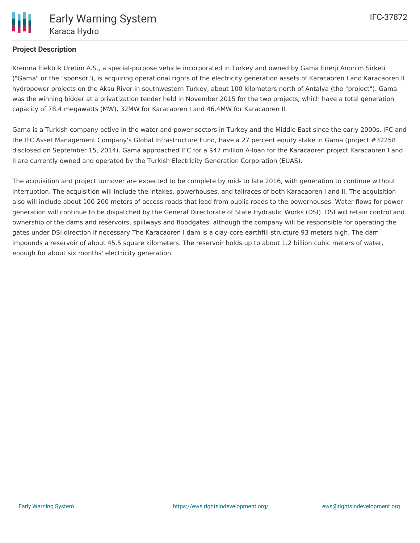# **Project Description**

Kremna Elektrik Uretim A.S., a special-purpose vehicle incorporated in Turkey and owned by Gama Enerji Anonim Sirketi ("Gama" or the "sponsor"), is acquiring operational rights of the electricity generation assets of Karacaoren I and Karacaoren II hydropower projects on the Aksu River in southwestern Turkey, about 100 kilometers north of Antalya (the "project"). Gama was the winning bidder at a privatization tender held in November 2015 for the two projects, which have a total generation capacity of 78.4 megawatts (MW), 32MW for Karacaoren I and 46.4MW for Karacaoren II.

Gama is a Turkish company active in the water and power sectors in Turkey and the Middle East since the early 2000s. IFC and the IFC Asset Management Company's Global Infrastructure Fund, have a 27 percent equity stake in Gama (project #32258 disclosed on September 15, 2014). Gama approached IFC for a \$47 million A-loan for the Karacaoren project.Karacaoren I and II are currently owned and operated by the Turkish Electricity Generation Corporation (EUAS).

The acquisition and project turnover are expected to be complete by mid- to late 2016, with generation to continue without interruption. The acquisition will include the intakes, powerhouses, and tailraces of both Karacaoren I and II. The acquisition also will include about 100-200 meters of access roads that lead from public roads to the powerhouses. Water flows for power generation will continue to be dispatched by the General Directorate of State Hydraulic Works (DSI). DSI will retain control and ownership of the dams and reservoirs, spillways and floodgates, although the company will be responsible for operating the gates under DSI direction if necessary.The Karacaoren I dam is a clay-core earthfill structure 93 meters high. The dam impounds a reservoir of about 45.5 square kilometers. The reservoir holds up to about 1.2 billion cubic meters of water, enough for about six months' electricity generation.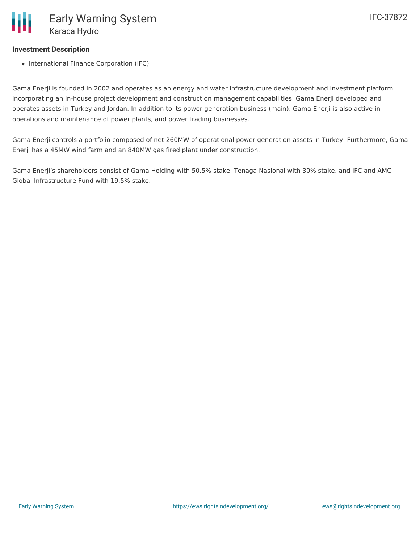### **Investment Description**

• International Finance Corporation (IFC)

Gama Enerji is founded in 2002 and operates as an energy and water infrastructure development and investment platform incorporating an in-house project development and construction management capabilities. Gama Enerji developed and operates assets in Turkey and Jordan. In addition to its power generation business (main), Gama Enerji is also active in operations and maintenance of power plants, and power trading businesses.

Gama Enerji controls a portfolio composed of net 260MW of operational power generation assets in Turkey. Furthermore, Gama Enerji has a 45MW wind farm and an 840MW gas fired plant under construction.

Gama Enerji's shareholders consist of Gama Holding with 50.5% stake, Tenaga Nasional with 30% stake, and IFC and AMC Global Infrastructure Fund with 19.5% stake.